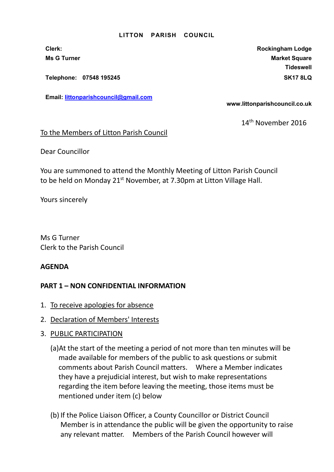Telephone: 07548 195245 SK17 8LQ

Email: littonparishcouncil@gmail.com

Clerk: Rockingham Lodge Ms G Turner Market Square Market Square Market Square Market Square Market Square **Tideswell** 

www.littonparishcouncil.co.uk

14th November 2016

## To the Members of Litton Parish Council

Dear Councillor

You are summoned to attend the Monthly Meeting of Litton Parish Council to be held on Monday 21<sup>st</sup> November, at 7.30pm at Litton Village Hall.

Yours sincerely

Ms G Turner Clerk to the Parish Council

## AGENDA

- 1. To receive apologies for absence
- 2. Declaration of Members' Interests
- 3. PUBLIC PARTICIPATION
	- (a)At the start of the meeting a period of not more than ten minutes will be made available for members of the public to ask questions or submit comments about Parish Council matters. Where a Member indicates they have a prejudicial interest, but wish to make representations regarding the item before leaving the meeting, those items must be mentioned under item (c) below
	- (b) If the Police Liaison Officer, a County Councillor or District Council Member is in attendance the public will be given the opportunity to raise any relevant matter. Members of the Parish Council however will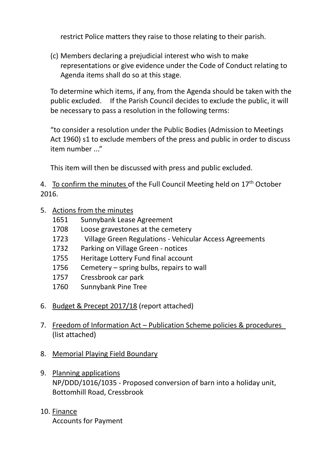restrict Police matters they raise to those relating to their parish.

(c) Members declaring a prejudicial interest who wish to make representations or give evidence under the Code of Conduct relating to Agenda items shall do so at this stage.

To determine which items, if any, from the Agenda should be taken with the public excluded. If the Parish Council decides to exclude the public, it will be necessary to pass a resolution in the following terms:

"to consider a resolution under the Public Bodies (Admission to Meetings Act 1960) s1 to exclude members of the press and public in order to discuss item number ..."

This item will then be discussed with press and public excluded.

4. To confirm the minutes of the Full Council Meeting held on  $17<sup>th</sup>$  October 2016.

- 5. Actions from the minutes
	- 1651 Sunnybank Lease Agreement
	- 1708 Loose gravestones at the cemetery
	- 1723 Village Green Regulations Vehicular Access Agreements
	- 1732 Parking on Village Green notices
	- 1755 Heritage Lottery Fund final account
	- 1756 Cemetery spring bulbs, repairs to wall
	- 1757 Cressbrook car park
	- 1760 Sunnybank Pine Tree
- 6. Budget & Precept 2017/18 (report attached)
- 7. Freedom of Information Act Publication Scheme policies & procedures (list attached)
- 8. Memorial Playing Field Boundary
- 9. Planning applications NP/DDD/1016/1035 - Proposed conversion of barn into a holiday unit, Bottomhill Road, Cressbrook
- 10. Finance Accounts for Payment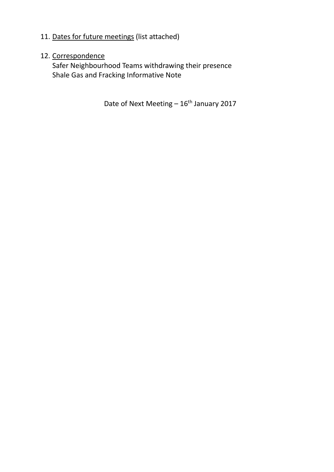# 11. Dates for future meetings (list attached)

# 12. Correspondence

Safer Neighbourhood Teams withdrawing their presence Shale Gas and Fracking Informative Note

Date of Next Meeting  $-16^{th}$  January 2017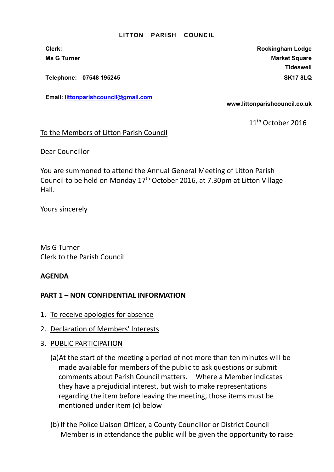Telephone: 07548 195245 SK17 8LQ

Email: littonparishcouncil@gmail.com

Clerk: Rockingham Lodge Ms G Turner Market Square Market Square Market Square Market Square **Tideswell** 

www.littonparishcouncil.co.uk

11<sup>th</sup> October 2016

### To the Members of Litton Parish Council

Dear Councillor

You are summoned to attend the Annual General Meeting of Litton Parish Council to be held on Monday 17<sup>th</sup> October 2016, at 7.30pm at Litton Village Hall.

Yours sincerely

Ms G Turner Clerk to the Parish Council

### AGENDA

- 1. To receive apologies for absence
- 2. Declaration of Members' Interests
- 3. PUBLIC PARTICIPATION
	- (a)At the start of the meeting a period of not more than ten minutes will be made available for members of the public to ask questions or submit comments about Parish Council matters. Where a Member indicates they have a prejudicial interest, but wish to make representations regarding the item before leaving the meeting, those items must be mentioned under item (c) below
	- (b) If the Police Liaison Officer, a County Councillor or District Council Member is in attendance the public will be given the opportunity to raise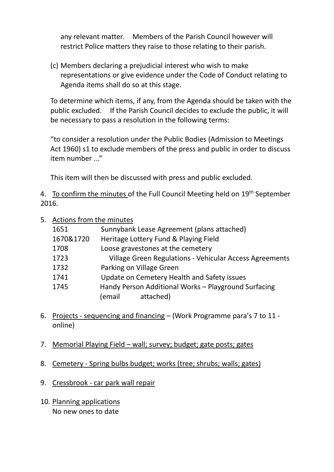any relevant matter. Members of the Parish Council however will restrict Police matters they raise to those relating to their parish.

(c) Members declaring a prejudicial interest who wish to make representations or give evidence under the Code of Conduct relating to Agenda items shall do so at this stage.

To determine which items, if any, from the Agenda should be taken with the public excluded. If the Parish Council decides to exclude the public, it will be necessary to pass a resolution in the following terms:

"to consider a resolution under the Public Bodies (Admission to Meetings Act 1960) s1 to exclude members of the press and public in order to discuss item number ..."

This item will then be discussed with press and public excluded.

4. To confirm the minutes of the Full Council Meeting held on 19<sup>th</sup> September 2016.

5. Actions from the minutes

| 1651      | Sunnybank Lease Agreement (plans attached)              |
|-----------|---------------------------------------------------------|
| 1670&1720 | Heritage Lottery Fund & Playing Field                   |
| 1708      | Loose gravestones at the cemetery                       |
| 1723      | Village Green Regulations - Vehicular Access Agreements |
| 1732      | Parking on Village Green                                |
| 1741      | Update on Cemetery Health and Safety issues             |
| 1745      | Handy Person Additional Works - Playground Surfacing    |
|           | attached)<br>(email                                     |

- 6. Projects sequencing and financing (Work Programme para's 7 to 11 online)
- 7. Memorial Playing Field wall; survey; budget; gate posts; gates
- 8. Cemetery Spring bulbs budget; works (tree; shrubs; walls; gates)
- 9. Cressbrook car park wall repair
- 10. Planning applications No new ones to date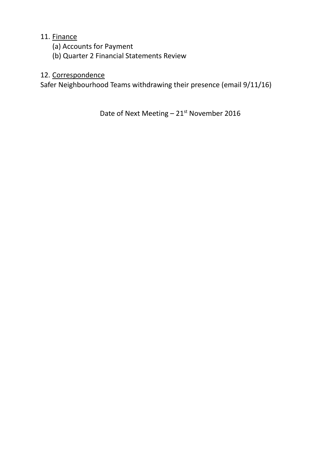# 11. Finance

- (a) Accounts for Payment
- (b) Quarter 2 Financial Statements Review

# 12. Correspondence

Safer Neighbourhood Teams withdrawing their presence (email 9/11/16)

Date of Next Meeting  $-21^{st}$  November 2016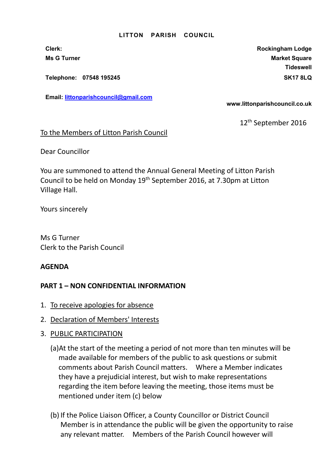Telephone: 07548 195245 SK17 8LQ

Email: littonparishcouncil@gmail.com

Clerk: Rockingham Lodge Ms G Turner Market Square Market Square Market Square Market Square Market Square **Tideswell** 

www.littonparishcouncil.co.uk

12<sup>th</sup> September 2016

### To the Members of Litton Parish Council

Dear Councillor

You are summoned to attend the Annual General Meeting of Litton Parish Council to be held on Monday 19th September 2016, at 7.30pm at Litton Village Hall.

Yours sincerely

Ms G Turner Clerk to the Parish Council

### AGENDA

- 1. To receive apologies for absence
- 2. Declaration of Members' Interests
- 3. PUBLIC PARTICIPATION
	- (a)At the start of the meeting a period of not more than ten minutes will be made available for members of the public to ask questions or submit comments about Parish Council matters. Where a Member indicates they have a prejudicial interest, but wish to make representations regarding the item before leaving the meeting, those items must be mentioned under item (c) below
	- (b) If the Police Liaison Officer, a County Councillor or District Council Member is in attendance the public will be given the opportunity to raise any relevant matter. Members of the Parish Council however will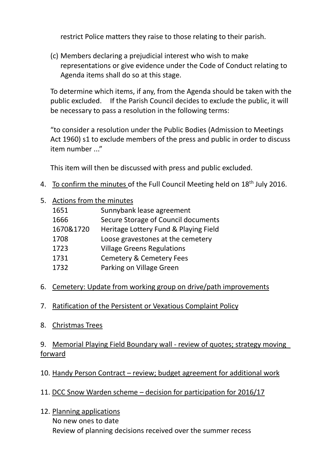restrict Police matters they raise to those relating to their parish.

(c) Members declaring a prejudicial interest who wish to make representations or give evidence under the Code of Conduct relating to Agenda items shall do so at this stage.

To determine which items, if any, from the Agenda should be taken with the public excluded. If the Parish Council decides to exclude the public, it will be necessary to pass a resolution in the following terms:

"to consider a resolution under the Public Bodies (Admission to Meetings Act 1960) s1 to exclude members of the press and public in order to discuss item number ..."

This item will then be discussed with press and public excluded.

- 4. To confirm the minutes of the Full Council Meeting held on 18<sup>th</sup> July 2016.
- 5. Actions from the minutes

| 1651      | Sunnybank lease agreement             |
|-----------|---------------------------------------|
| 1666      | Secure Storage of Council documents   |
| 1670&1720 | Heritage Lottery Fund & Playing Field |
| 1708      | Loose gravestones at the cemetery     |
| 1723      | <b>Village Greens Regulations</b>     |
| 1731      | <b>Cemetery &amp; Cemetery Fees</b>   |
| 1732      | Parking on Village Green              |

# 6. Cemetery: Update from working group on drive/path improvements

# 7. Ratification of the Persistent or Vexatious Complaint Policy

8. Christmas Trees

# 9. Memorial Playing Field Boundary wall - review of quotes; strategy moving forward

- 10. Handy Person Contract review; budget agreement for additional work
- 11. DCC Snow Warden scheme decision for participation for 2016/17
- 12. Planning applications No new ones to date Review of planning decisions received over the summer recess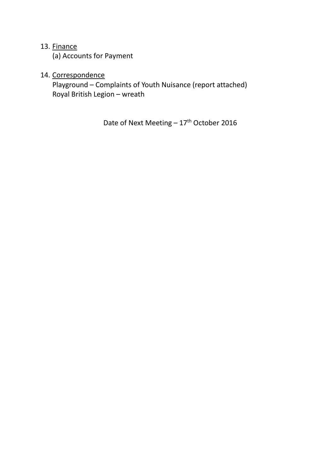## 13. Finance

(a) Accounts for Payment

# 14. Correspondence

 Playground – Complaints of Youth Nuisance (report attached) Royal British Legion – wreath

Date of Next Meeting - 17<sup>th</sup> October 2016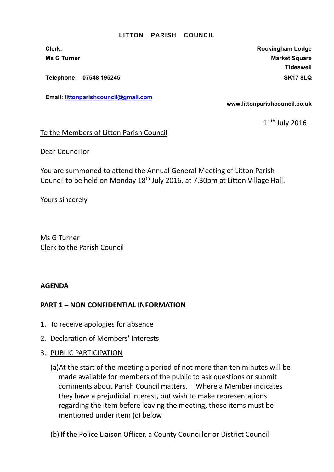Telephone: 07548 195245 SK17 8LQ

Email: littonparishcouncil@gmail.com

Clerk: Rockingham Lodge Ms G Turner Market Square Market Square Market Square Market Square **Tideswell** 

www.littonparishcouncil.co.uk

11<sup>th</sup> July 2016

### To the Members of Litton Parish Council

Dear Councillor

You are summoned to attend the Annual General Meeting of Litton Parish Council to be held on Monday 18th July 2016, at 7.30pm at Litton Village Hall.

Yours sincerely

Ms G Turner Clerk to the Parish Council

### AGENDA

- 1. To receive apologies for absence
- 2. Declaration of Members' Interests
- 3. PUBLIC PARTICIPATION
	- (a)At the start of the meeting a period of not more than ten minutes will be made available for members of the public to ask questions or submit comments about Parish Council matters. Where a Member indicates they have a prejudicial interest, but wish to make representations regarding the item before leaving the meeting, those items must be mentioned under item (c) below
	- (b) If the Police Liaison Officer, a County Councillor or District Council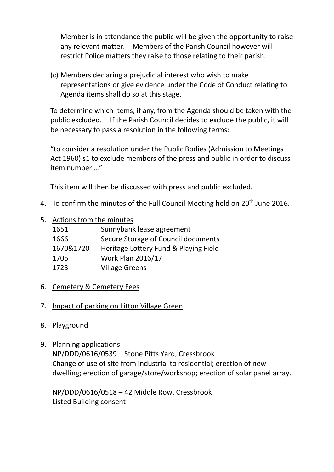Member is in attendance the public will be given the opportunity to raise any relevant matter. Members of the Parish Council however will restrict Police matters they raise to those relating to their parish.

(c) Members declaring a prejudicial interest who wish to make representations or give evidence under the Code of Conduct relating to Agenda items shall do so at this stage.

To determine which items, if any, from the Agenda should be taken with the public excluded. If the Parish Council decides to exclude the public, it will be necessary to pass a resolution in the following terms:

"to consider a resolution under the Public Bodies (Admission to Meetings Act 1960) s1 to exclude members of the press and public in order to discuss item number ..."

This item will then be discussed with press and public excluded.

- 4. To confirm the minutes of the Full Council Meeting held on 20<sup>th</sup> June 2016.
- 5. Actions from the minutes

| 1651      | Sunnybank lease agreement             |
|-----------|---------------------------------------|
| 1666      | Secure Storage of Council documents   |
| 1670&1720 | Heritage Lottery Fund & Playing Field |
| 1705      | <b>Work Plan 2016/17</b>              |
| 1723      | <b>Village Greens</b>                 |

6. Cemetery & Cemetery Fees

# 7. Impact of parking on Litton Village Green

- 8. Playground
- 9. Planning applications

NP/DDD/0616/0539 – Stone Pitts Yard, Cressbrook Change of use of site from industrial to residential; erection of new dwelling; erection of garage/store/workshop; erection of solar panel array.

NP/DDD/0616/0518 – 42 Middle Row, Cressbrook Listed Building consent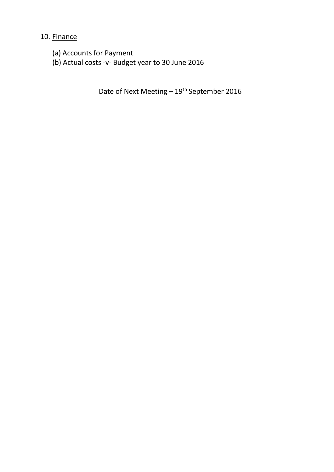10. Finance

- (a) Accounts for Payment
- (b) Actual costs -v- Budget year to 30 June 2016

Date of Next Meeting - 19<sup>th</sup> September 2016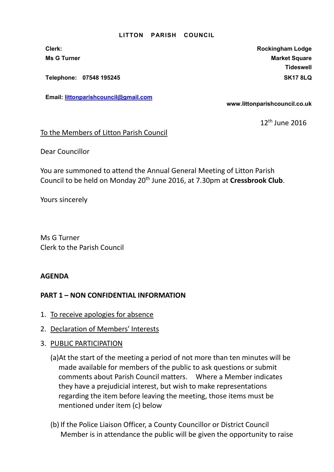Telephone: 07548 195245 SK17 8LQ

Email: littonparishcouncil@gmail.com

Clerk: Rockingham Lodge Ms G Turner Market Square Market Square Market Square Market Square **Tideswell** 

www.littonparishcouncil.co.uk

12<sup>th</sup> June 2016

### To the Members of Litton Parish Council

Dear Councillor

You are summoned to attend the Annual General Meeting of Litton Parish Council to be held on Monday 20<sup>th</sup> June 2016, at 7.30pm at Cressbrook Club.

Yours sincerely

Ms G Turner Clerk to the Parish Council

### AGENDA

- 1. To receive apologies for absence
- 2. Declaration of Members' Interests
- 3. PUBLIC PARTICIPATION
	- (a)At the start of the meeting a period of not more than ten minutes will be made available for members of the public to ask questions or submit comments about Parish Council matters. Where a Member indicates they have a prejudicial interest, but wish to make representations regarding the item before leaving the meeting, those items must be mentioned under item (c) below
	- (b) If the Police Liaison Officer, a County Councillor or District Council Member is in attendance the public will be given the opportunity to raise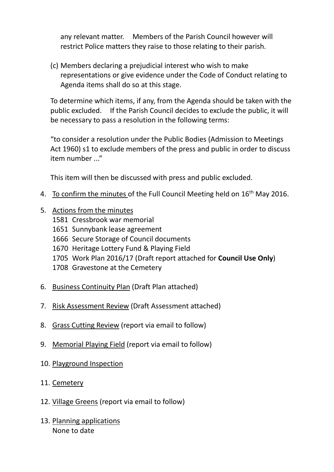any relevant matter. Members of the Parish Council however will restrict Police matters they raise to those relating to their parish.

(c) Members declaring a prejudicial interest who wish to make representations or give evidence under the Code of Conduct relating to Agenda items shall do so at this stage.

To determine which items, if any, from the Agenda should be taken with the public excluded. If the Parish Council decides to exclude the public, it will be necessary to pass a resolution in the following terms:

"to consider a resolution under the Public Bodies (Admission to Meetings Act 1960) s1 to exclude members of the press and public in order to discuss item number ..."

This item will then be discussed with press and public excluded.

- 4. To confirm the minutes of the Full Council Meeting held on 16<sup>th</sup> May 2016.
- 5. Actions from the minutes
	- 1581 Cressbrook war memorial
	- 1651 Sunnybank lease agreement
	- 1666 Secure Storage of Council documents
	- 1670 Heritage Lottery Fund & Playing Field
	- 1705 Work Plan 2016/17 (Draft report attached for Council Use Only)
	- 1708 Gravestone at the Cemetery
- 6. Business Continuity Plan (Draft Plan attached)
- 7. Risk Assessment Review (Draft Assessment attached)
- 8. Grass Cutting Review (report via email to follow)
- 9. Memorial Playing Field (report via email to follow)
- 10. Playground Inspection
- 11. Cemetery
- 12. Village Greens (report via email to follow)
- 13. Planning applications None to date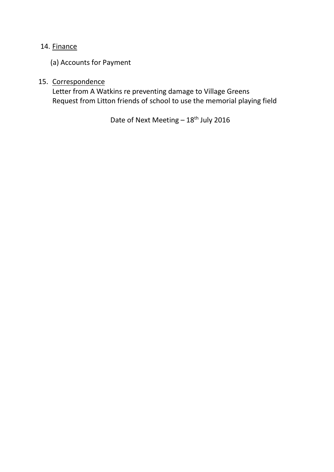# 14. Finance

(a) Accounts for Payment

# 15. Correspondence

 Letter from A Watkins re preventing damage to Village Greens Request from Litton friends of school to use the memorial playing field

Date of Next Meeting  $-18^{th}$  July 2016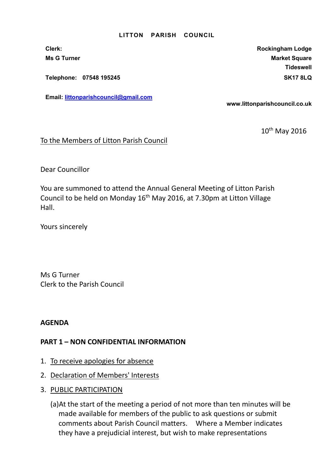Telephone: 07548 195245 SK17 8LQ

Email: littonparishcouncil@gmail.com

Clerk: Rockingham Lodge Ms G Turner Market Square Market Square Market Square Market Square **Tideswell** 

www.littonparishcouncil.co.uk

10<sup>th</sup> May 2016

To the Members of Litton Parish Council

Dear Councillor

You are summoned to attend the Annual General Meeting of Litton Parish Council to be held on Monday 16<sup>th</sup> May 2016, at 7.30pm at Litton Village Hall.

Yours sincerely

Ms G Turner Clerk to the Parish Council

AGENDA

- 1. To receive apologies for absence
- 2. Declaration of Members' Interests
- 3. PUBLIC PARTICIPATION
	- (a)At the start of the meeting a period of not more than ten minutes will be made available for members of the public to ask questions or submit comments about Parish Council matters. Where a Member indicates they have a prejudicial interest, but wish to make representations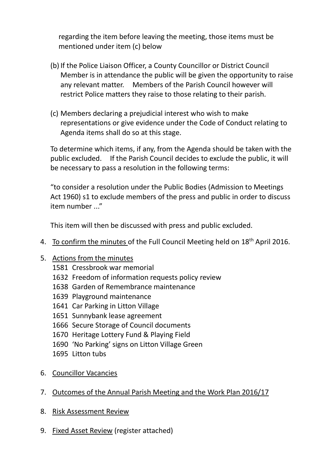regarding the item before leaving the meeting, those items must be mentioned under item (c) below

- (b) If the Police Liaison Officer, a County Councillor or District Council Member is in attendance the public will be given the opportunity to raise any relevant matter. Members of the Parish Council however will restrict Police matters they raise to those relating to their parish.
- (c) Members declaring a prejudicial interest who wish to make representations or give evidence under the Code of Conduct relating to Agenda items shall do so at this stage.

To determine which items, if any, from the Agenda should be taken with the public excluded. If the Parish Council decides to exclude the public, it will be necessary to pass a resolution in the following terms:

"to consider a resolution under the Public Bodies (Admission to Meetings Act 1960) s1 to exclude members of the press and public in order to discuss  $item number$ ..."

This item will then be discussed with press and public excluded.

4. To confirm the minutes of the Full Council Meeting held on 18<sup>th</sup> April 2016.

# 5. Actions from the minutes

- 1581 Cressbrook war memorial
- 1632 Freedom of information requests policy review
- 1638 Garden of Remembrance maintenance
- 1639 Playground maintenance
- 1641 Car Parking in Litton Village
- 1651 Sunnybank lease agreement
- 1666 Secure Storage of Council documents
- 1670 Heritage Lottery Fund & Playing Field
- 1690 'No Parking' signs on Litton Village Green
- 1695 Litton tubs
- 6. Councillor Vacancies
- 7. Outcomes of the Annual Parish Meeting and the Work Plan 2016/17
- 8. Risk Assessment Review
- 9. Fixed Asset Review (register attached)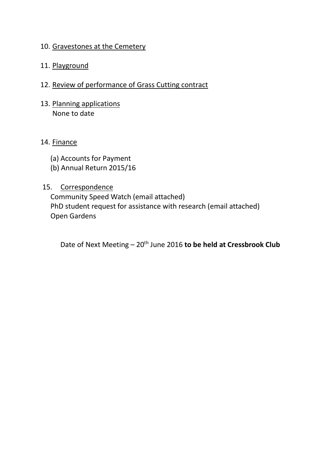## 10. Gravestones at the Cemetery

# 11. Playground

- 12. Review of performance of Grass Cutting contract
- 13. Planning applications None to date

## 14. Finance

- (a) Accounts for Payment
- (b) Annual Return 2015/16

## 15. Correspondence

 Community Speed Watch (email attached) PhD student request for assistance with research (email attached) Open Gardens

Date of Next Meeting  $-20$ <sup>th</sup> June 2016 to be held at Cressbrook Club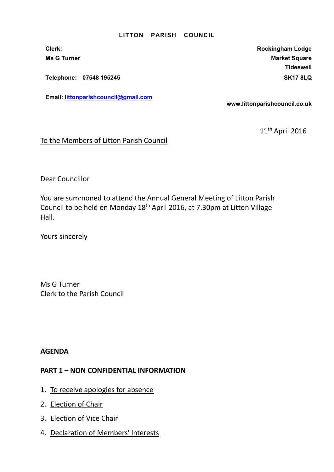Telephone: 07548 195245 SK17 8LQ

Email: littonparishcouncil@gmail.com

Clerk: Clerk: Clerk: Rockingham Lodge Ms G Turner Market Square Market Square Market Square Market Square **Tideswell** 

www.littonparishcouncil.co.uk

11th April 2016

To the Members of Litton Parish Council

Dear Councillor

You are summoned to attend the Annual General Meeting of Litton Parish Council to be held on Monday 18th April 2016, at 7.30pm at Litton Village Hall.

Yours sincerely

Ms G Turner Clerk to the Parish Council

AGENDA

- 1. To receive apologies for absence
- 2. Election of Chair
- 3. Election of Vice Chair
- 4. Declaration of Members' Interests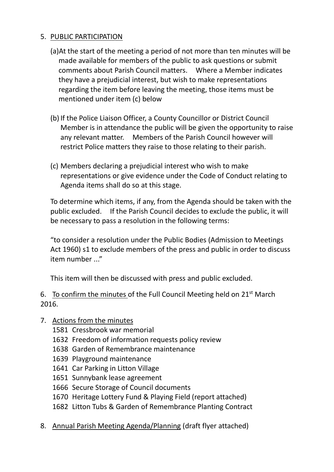# 5. PUBLIC PARTICIPATION

- (a)At the start of the meeting a period of not more than ten minutes will be made available for members of the public to ask questions or submit comments about Parish Council matters. Where a Member indicates they have a prejudicial interest, but wish to make representations regarding the item before leaving the meeting, those items must be mentioned under item (c) below
- (b) If the Police Liaison Officer, a County Councillor or District Council Member is in attendance the public will be given the opportunity to raise any relevant matter. Members of the Parish Council however will restrict Police matters they raise to those relating to their parish.
- (c) Members declaring a prejudicial interest who wish to make representations or give evidence under the Code of Conduct relating to Agenda items shall do so at this stage.

To determine which items, if any, from the Agenda should be taken with the public excluded. If the Parish Council decides to exclude the public, it will be necessary to pass a resolution in the following terms:

"to consider a resolution under the Public Bodies (Admission to Meetings Act 1960) s1 to exclude members of the press and public in order to discuss item number ..."

This item will then be discussed with press and public excluded.

6. To confirm the minutes of the Full Council Meeting held on  $21<sup>st</sup>$  March 2016.

- 7. Actions from the minutes
	- 1581 Cressbrook war memorial
	- 1632 Freedom of information requests policy review
	- 1638 Garden of Remembrance maintenance
	- 1639 Playground maintenance
	- 1641 Car Parking in Litton Village
	- 1651 Sunnybank lease agreement
	- 1666 Secure Storage of Council documents
	- 1670 Heritage Lottery Fund & Playing Field (report attached)
	- 1682 Litton Tubs & Garden of Remembrance Planting Contract
- 8. Annual Parish Meeting Agenda/Planning (draft flyer attached)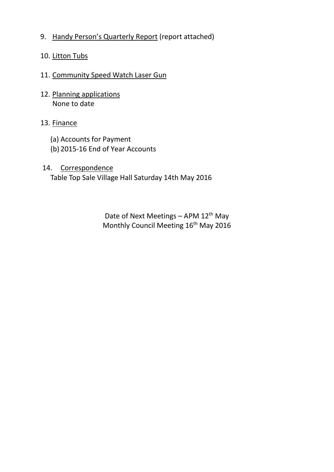9. Handy Person's Quarterly Report (report attached)

# 10. Litton Tubs

# 11. Community Speed Watch Laser Gun

12. Planning applications None to date

# 13. Finance

- (a) Accounts for Payment
- (b) 2015-16 End of Year Accounts
- 14. Correspondence Table Top Sale Village Hall Saturday 14th May 2016

Date of Next Meetings - APM 12<sup>th</sup> May Monthly Council Meeting 16<sup>th</sup> May 2016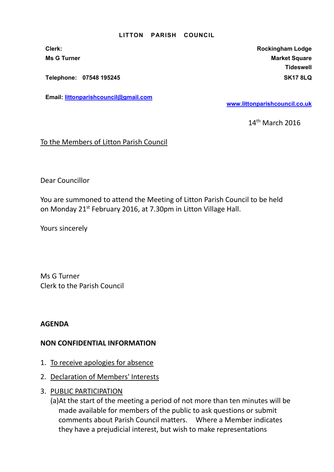Telephone: 07548 195245 SK17 8LQ

Email: littonparishcouncil@gmail.com

Clerk: Rockingham Lodge Ms G Turner Market Square Market Square Market Square Market Square **Tideswell** 

www.littonparishcouncil.co.uk

14th March 2016

To the Members of Litton Parish Council

Dear Councillor

You are summoned to attend the Meeting of Litton Parish Council to be held on Monday 21<sup>st</sup> February 2016, at 7.30pm in Litton Village Hall.

Yours sincerely

Ms G Turner Clerk to the Parish Council

AGENDA

### NON CONFIDENTIAL INFORMATION

- 1. To receive apologies for absence
- 2. Declaration of Members' Interests
- 3. PUBLIC PARTICIPATION

(a)At the start of the meeting a period of not more than ten minutes will be made available for members of the public to ask questions or submit comments about Parish Council matters. Where a Member indicates they have a prejudicial interest, but wish to make representations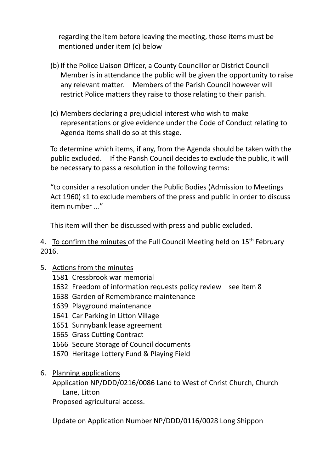regarding the item before leaving the meeting, those items must be mentioned under item (c) below

- (b) If the Police Liaison Officer, a County Councillor or District Council Member is in attendance the public will be given the opportunity to raise any relevant matter. Members of the Parish Council however will restrict Police matters they raise to those relating to their parish.
- (c) Members declaring a prejudicial interest who wish to make representations or give evidence under the Code of Conduct relating to Agenda items shall do so at this stage.

To determine which items, if any, from the Agenda should be taken with the public excluded. If the Parish Council decides to exclude the public, it will be necessary to pass a resolution in the following terms:

"to consider a resolution under the Public Bodies (Admission to Meetings Act 1960) s1 to exclude members of the press and public in order to discuss item number ..."

This item will then be discussed with press and public excluded.

4. To confirm the minutes of the Full Council Meeting held on 15<sup>th</sup> February 2016.

- 5. Actions from the minutes
	- 1581 Cressbrook war memorial
	- 1632 Freedom of information requests policy review see item 8
	- 1638 Garden of Remembrance maintenance
	- 1639 Playground maintenance
	- 1641 Car Parking in Litton Village
	- 1651 Sunnybank lease agreement
	- 1665 Grass Cutting Contract
	- 1666 Secure Storage of Council documents
	- 1670 Heritage Lottery Fund & Playing Field
- 6. Planning applications

Application NP/DDD/0216/0086 Land to West of Christ Church, Church Lane, Litton

Proposed agricultural access.

Update on Application Number NP/DDD/0116/0028 Long Shippon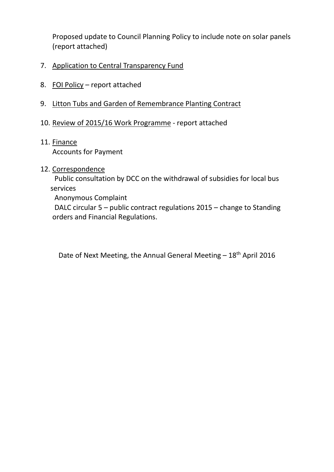Proposed update to Council Planning Policy to include note on solar panels (report attached)

- 7. Application to Central Transparency Fund
- 8. FOI Policy report attached
- 9. Litton Tubs and Garden of Remembrance Planting Contract
- 10. Review of 2015/16 Work Programme report attached
- 11. Finance Accounts for Payment
- 12. Correspondence

 Public consultation by DCC on the withdrawal of subsidies for local bus services

Anonymous Complaint

 DALC circular 5 – public contract regulations 2015 – change to Standing orders and Financial Regulations.

Date of Next Meeting, the Annual General Meeting  $-18<sup>th</sup>$  April 2016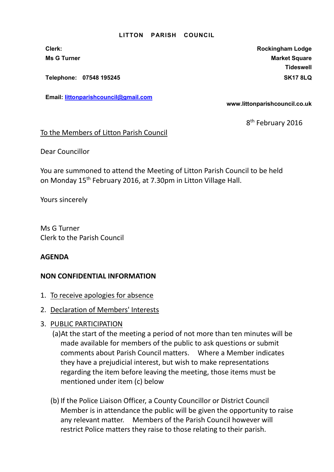Telephone: 07548 195245 SK17 8LQ

Email: littonparishcouncil@gmail.com

Clerk: Rockingham Lodge Ms G Turner Market Square Market Square Market Square Market Square Market Square **Tideswell** 

www.littonparishcouncil.co.uk

 $8<sup>1</sup>$ 8<sup>th</sup> February 2016

### To the Members of Litton Parish Council

Dear Councillor

You are summoned to attend the Meeting of Litton Parish Council to be held on Monday 15th February 2016, at 7.30pm in Litton Village Hall.

Yours sincerely

Ms G Turner Clerk to the Parish Council

## AGENDA

## NON CONFIDENTIAL INFORMATION

- 1. To receive apologies for absence
- 2. Declaration of Members' Interests
- 3. PUBLIC PARTICIPATION
	- (a)At the start of the meeting a period of not more than ten minutes will be made available for members of the public to ask questions or submit comments about Parish Council matters. Where a Member indicates they have a prejudicial interest, but wish to make representations regarding the item before leaving the meeting, those items must be mentioned under item (c) below
	- (b) If the Police Liaison Officer, a County Councillor or District Council Member is in attendance the public will be given the opportunity to raise any relevant matter. Members of the Parish Council however will restrict Police matters they raise to those relating to their parish.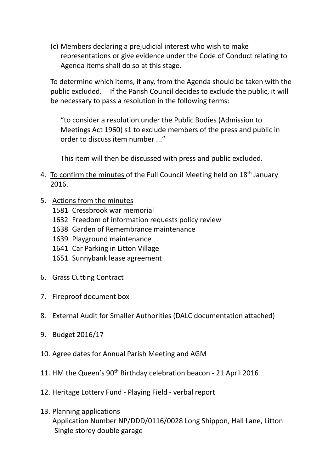(c) Members declaring a prejudicial interest who wish to make representations or give evidence under the Code of Conduct relating to Agenda items shall do so at this stage.

To determine which items, if any, from the Agenda should be taken with the public excluded. If the Parish Council decides to exclude the public, it will be necessary to pass a resolution in the following terms:

"to consider a resolution under the Public Bodies (Admission to Meetings Act 1960) s1 to exclude members of the press and public in order to discuss item number ..."

This item will then be discussed with press and public excluded.

- 4. To confirm the minutes of the Full Council Meeting held on 18<sup>th</sup> January 2016.
- 5. Actions from the minutes
	- 1581 Cressbrook war memorial
	- 1632 Freedom of information requests policy review
	- 1638 Garden of Remembrance maintenance
	- 1639 Playground maintenance
	- 1641 Car Parking in Litton Village
	- 1651 Sunnybank lease agreement
- 6. Grass Cutting Contract
- 7. Fireproof document box
- 8. External Audit for Smaller Authorities (DALC documentation attached)
- 9. Budget 2016/17
- 10. Agree dates for Annual Parish Meeting and AGM
- 11. HM the Queen's 90<sup>th</sup> Birthday celebration beacon 21 April 2016
- 12. Heritage Lottery Fund Playing Field verbal report
- 13. Planning applications Application Number NP/DDD/0116/0028 Long Shippon, Hall Lane, Litton Single storey double garage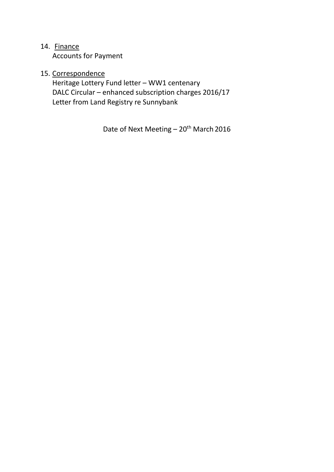# 14. Finance

Accounts for Payment

# 15. Correspondence

 Heritage Lottery Fund letter – WW1 centenary DALC Circular – enhanced subscription charges 2016/17 Letter from Land Registry re Sunnybank

Date of Next Meeting - 20<sup>th</sup> March 2016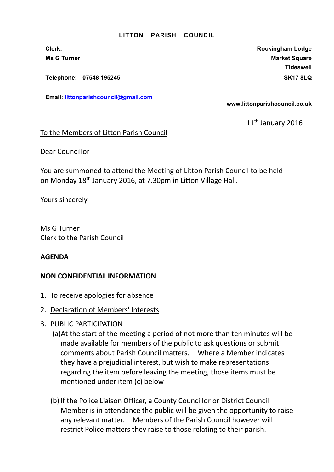Telephone: 07548 195245 SK17 8LQ

Email: littonparishcouncil@gmail.com

Clerk: Rockingham Lodge Ms G Turner Market Square Market Square Market Square Market Square Market Square **Tideswell** 

www.littonparishcouncil.co.uk

11<sup>th</sup> January 2016

### To the Members of Litton Parish Council

Dear Councillor

You are summoned to attend the Meeting of Litton Parish Council to be held on Monday 18th January 2016, at 7.30pm in Litton Village Hall.

Yours sincerely

Ms G Turner Clerk to the Parish Council

### AGENDA

### NON CONFIDENTIAL INFORMATION

- 1. To receive apologies for absence
- 2. Declaration of Members' Interests
- 3. PUBLIC PARTICIPATION
	- (a)At the start of the meeting a period of not more than ten minutes will be made available for members of the public to ask questions or submit comments about Parish Council matters. Where a Member indicates they have a prejudicial interest, but wish to make representations regarding the item before leaving the meeting, those items must be mentioned under item (c) below
	- (b) If the Police Liaison Officer, a County Councillor or District Council Member is in attendance the public will be given the opportunity to raise any relevant matter. Members of the Parish Council however will restrict Police matters they raise to those relating to their parish.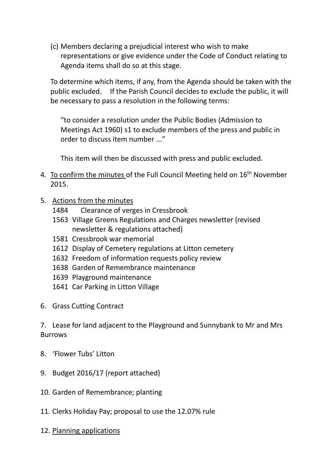(c) Members declaring a prejudicial interest who wish to make representations or give evidence under the Code of Conduct relating to Agenda items shall do so at this stage.

To determine which items, if any, from the Agenda should be taken with the public excluded. If the Parish Council decides to exclude the public, it will be necessary to pass a resolution in the following terms:

"to consider a resolution under the Public Bodies (Admission to Meetings Act 1960) s1 to exclude members of the press and public in order to discuss item number ..."

This item will then be discussed with press and public excluded.

- 4. To confirm the minutes of the Full Council Meeting held on 16<sup>th</sup> November 2015.
- 5. Actions from the minutes
	- 1484 Clearance of verges in Cressbrook
	- 1563 Village Greens Regulations and Charges newsletter (revised newsletter & regulations attached)
	- 1581 Cressbrook war memorial
	- 1612 Display of Cemetery regulations at Litton cemetery
	- 1632 Freedom of information requests policy review
	- 1638 Garden of Remembrance maintenance
	- 1639 Playground maintenance
	- 1641 Car Parking in Litton Village
- 6. Grass Cutting Contract

7. Lease for land adjacent to the Playground and Sunnybank to Mr and Mrs **Burrows** 

- 8. 'Flower Tubs' Litton
- 9. Budget 2016/17 (report attached)
- 10. Garden of Remembrance; planting
- 11. Clerks Holiday Pay; proposal to use the 12.07% rule
- 12. Planning applications